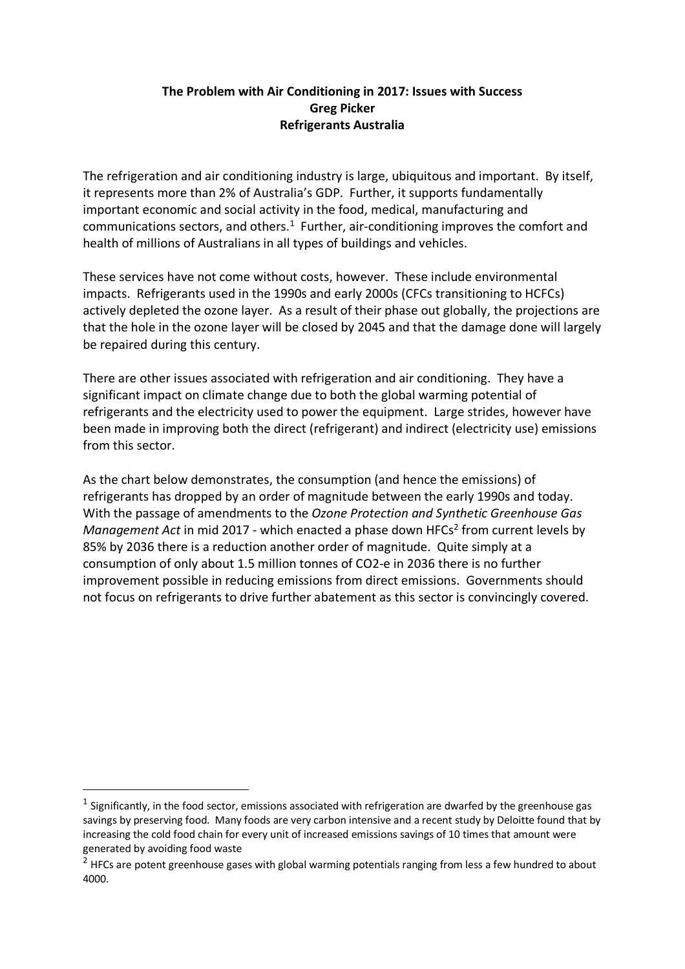## **The Problem with Air Conditioning in 2017: Issues with Success Greg Picker Refrigerants Australia**

The refrigeration and air conditioning industry is large, ubiquitous and important. By itself, it represents more than 2% of Australia's GDP. Further, it supports fundamentally important economic and social activity in the food, medical, manufacturing and communications sectors, and others. $<sup>1</sup>$  Further, air-conditioning improves the comfort and</sup> health of millions of Australians in all types of buildings and vehicles.

These services have not come without costs, however. These include environmental impacts. Refrigerants used in the 1990s and early 2000s (CFCs transitioning to HCFCs) actively depleted the ozone layer. As a result of their phase out globally, the projections are that the hole in the ozone layer will be closed by 2045 and that the damage done will largely be repaired during this century.

There are other issues associated with refrigeration and air conditioning. They have a significant impact on climate change due to both the global warming potential of refrigerants and the electricity used to power the equipment. Large strides, however have been made in improving both the direct (refrigerant) and indirect (electricity use) emissions from this sector.

As the chart below demonstrates, the consumption (and hence the emissions) of refrigerants has dropped by an order of magnitude between the early 1990s and today. With the passage of amendments to the *Ozone Protection and Synthetic Greenhouse Gas Management Act* in mid 2017 - which enacted a phase down HFCs<sup>2</sup> from current levels by 85% by 2036 there is a reduction another order of magnitude. Quite simply at a consumption of only about 1.5 million tonnes of CO2-e in 2036 there is no further improvement possible in reducing emissions from direct emissions. Governments should not focus on refrigerants to drive further abatement as this sector is convincingly covered.

 $1$  Significantly, in the food sector, emissions associated with refrigeration are dwarfed by the greenhouse gas savings by preserving food. Many foods are very carbon intensive and a recent study by Deloitte found that by increasing the cold food chain for every unit of increased emissions savings of 10 times that amount were generated by avoiding food waste

<sup>&</sup>lt;sup>2</sup> HFCs are potent greenhouse gases with global warming potentials ranging from less a few hundred to about 4000.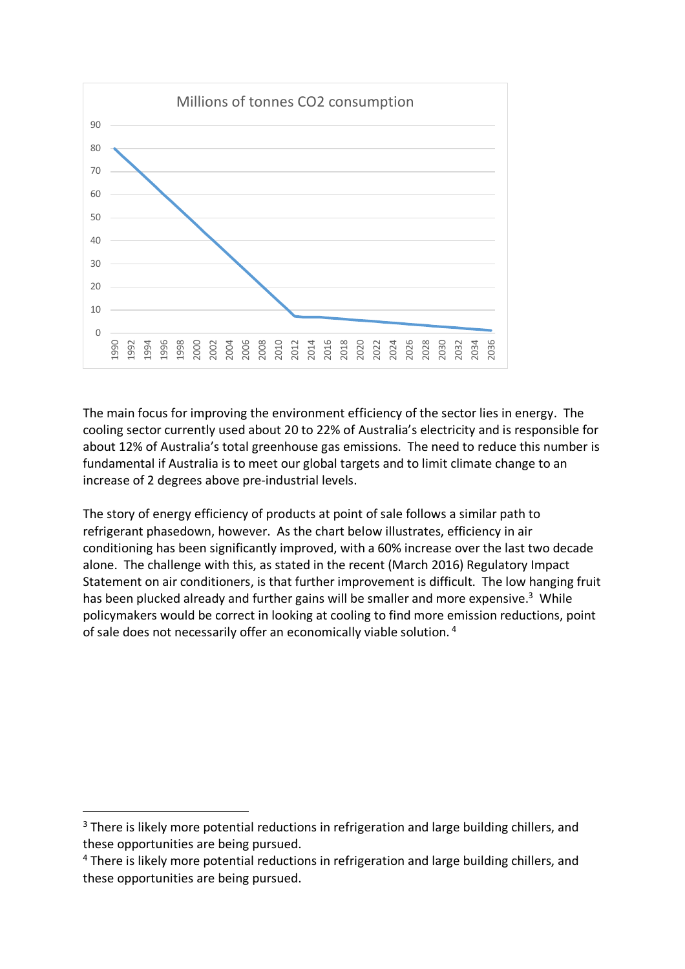

The main focus for improving the environment efficiency of the sector lies in energy. The cooling sector currently used about 20 to 22% of Australia's electricity and is responsible for about 12% of Australia's total greenhouse gas emissions. The need to reduce this number is fundamental if Australia is to meet our global targets and to limit climate change to an increase of 2 degrees above pre-industrial levels.

The story of energy efficiency of products at point of sale follows a similar path to refrigerant phasedown, however. As the chart below illustrates, efficiency in air conditioning has been significantly improved, with a 60% increase over the last two decade alone. The challenge with this, as stated in the recent (March 2016) Regulatory Impact Statement on air conditioners, is that further improvement is difficult. The low hanging fruit has been plucked already and further gains will be smaller and more expensive.<sup>3</sup> While policymakers would be correct in looking at cooling to find more emission reductions, point of sale does not necessarily offer an economically viable solution. <sup>4</sup>

 $3$  There is likely more potential reductions in refrigeration and large building chillers, and these opportunities are being pursued.

<sup>&</sup>lt;sup>4</sup> There is likely more potential reductions in refrigeration and large building chillers, and these opportunities are being pursued.